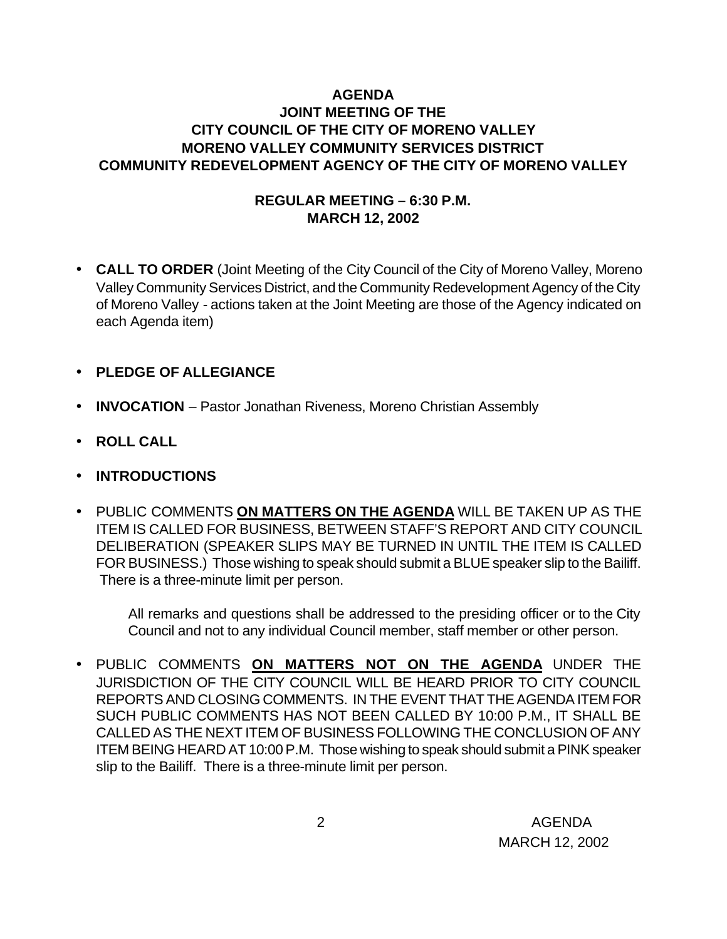## **AGENDA JOINT MEETING OF THE CITY COUNCIL OF THE CITY OF MORENO VALLEY MORENO VALLEY COMMUNITY SERVICES DISTRICT COMMUNITY REDEVELOPMENT AGENCY OF THE CITY OF MORENO VALLEY**

## **REGULAR MEETING – 6:30 P.M. MARCH 12, 2002**

- **CALL TO ORDER** (Joint Meeting of the City Council of the City of Moreno Valley, Moreno Valley Community Services District, and the Community Redevelopment Agency of the City of Moreno Valley - actions taken at the Joint Meeting are those of the Agency indicated on each Agenda item)
- **PLEDGE OF ALLEGIANCE**
- **INVOCATION** Pastor Jonathan Riveness, Moreno Christian Assembly
- **ROLL CALL**
- **INTRODUCTIONS**
- PUBLIC COMMENTS **ON MATTERS ON THE AGENDA** WILL BE TAKEN UP AS THE ITEM IS CALLED FOR BUSINESS, BETWEEN STAFF'S REPORT AND CITY COUNCIL DELIBERATION (SPEAKER SLIPS MAY BE TURNED IN UNTIL THE ITEM IS CALLED FOR BUSINESS.) Those wishing to speak should submit a BLUE speaker slip to the Bailiff. There is a three-minute limit per person.

All remarks and questions shall be addressed to the presiding officer or to the City Council and not to any individual Council member, staff member or other person.

• PUBLIC COMMENTS **ON MATTERS NOT ON THE AGENDA** UNDER THE JURISDICTION OF THE CITY COUNCIL WILL BE HEARD PRIOR TO CITY COUNCIL REPORTS AND CLOSING COMMENTS. IN THE EVENT THAT THE AGENDA ITEM FOR SUCH PUBLIC COMMENTS HAS NOT BEEN CALLED BY 10:00 P.M., IT SHALL BE CALLED AS THE NEXT ITEM OF BUSINESS FOLLOWING THE CONCLUSION OF ANY ITEM BEING HEARD AT 10:00 P.M. Those wishing to speak should submit a PINK speaker slip to the Bailiff. There is a three-minute limit per person.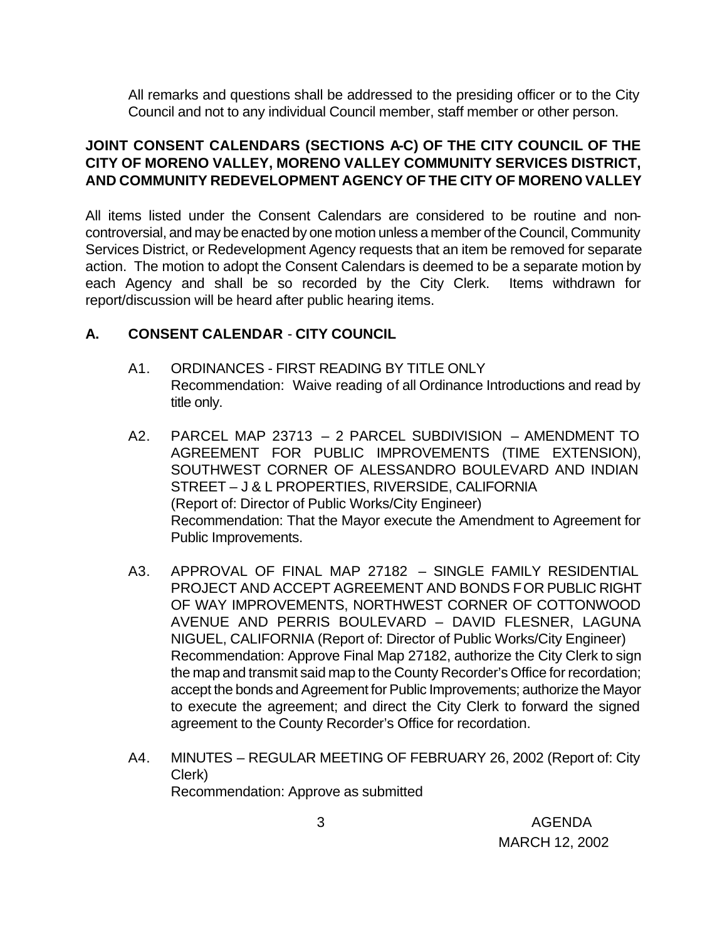All remarks and questions shall be addressed to the presiding officer or to the City Council and not to any individual Council member, staff member or other person.

## **JOINT CONSENT CALENDARS (SECTIONS A-C) OF THE CITY COUNCIL OF THE CITY OF MORENO VALLEY, MORENO VALLEY COMMUNITY SERVICES DISTRICT, AND COMMUNITY REDEVELOPMENT AGENCY OF THE CITY OF MORENO VALLEY**

All items listed under the Consent Calendars are considered to be routine and noncontroversial, and may be enacted by one motion unless a member of the Council, Community Services District, or Redevelopment Agency requests that an item be removed for separate action. The motion to adopt the Consent Calendars is deemed to be a separate motion by each Agency and shall be so recorded by the City Clerk. Items withdrawn for report/discussion will be heard after public hearing items.

## **A. CONSENT CALENDAR** - **CITY COUNCIL**

- A1. ORDINANCES FIRST READING BY TITLE ONLY Recommendation: Waive reading of all Ordinance Introductions and read by title only.
- A2. PARCEL MAP 23713 2 PARCEL SUBDIVISION AMENDMENT TO AGREEMENT FOR PUBLIC IMPROVEMENTS (TIME EXTENSION), SOUTHWEST CORNER OF ALESSANDRO BOULEVARD AND INDIAN STREET – J & L PROPERTIES, RIVERSIDE, CALIFORNIA (Report of: Director of Public Works/City Engineer) Recommendation: That the Mayor execute the Amendment to Agreement for Public Improvements.
- A3. APPROVAL OF FINAL MAP 27182 SINGLE FAMILY RESIDENTIAL PROJECT AND ACCEPT AGREEMENT AND BONDS FOR PUBLIC RIGHT OF WAY IMPROVEMENTS, NORTHWEST CORNER OF COTTONWOOD AVENUE AND PERRIS BOULEVARD – DAVID FLESNER, LAGUNA NIGUEL, CALIFORNIA (Report of: Director of Public Works/City Engineer) Recommendation: Approve Final Map 27182, authorize the City Clerk to sign the map and transmit said map to the County Recorder's Office for recordation; accept the bonds and Agreement for Public Improvements; authorize the Mayor to execute the agreement; and direct the City Clerk to forward the signed agreement to the County Recorder's Office for recordation.
- A4. MINUTES REGULAR MEETING OF FEBRUARY 26, 2002 (Report of: City Clerk) Recommendation: Approve as submitted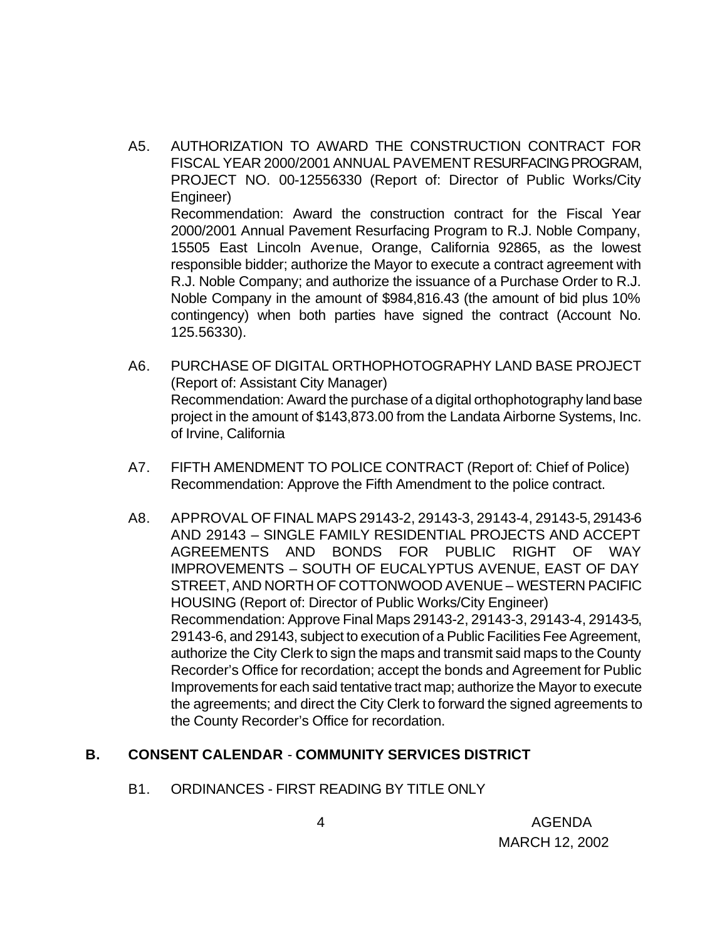- A5. AUTHORIZATION TO AWARD THE CONSTRUCTION CONTRACT FOR FISCAL YEAR 2000/2001 ANNUAL PAVEMENT RESURFACING PROGRAM, PROJECT NO. 00-12556330 (Report of: Director of Public Works/City Engineer) Recommendation: Award the construction contract for the Fiscal Year 2000/2001 Annual Pavement Resurfacing Program to R.J. Noble Company, 15505 East Lincoln Avenue, Orange, California 92865, as the lowest responsible bidder; authorize the Mayor to execute a contract agreement with R.J. Noble Company; and authorize the issuance of a Purchase Order to R.J. Noble Company in the amount of \$984,816.43 (the amount of bid plus 10% contingency) when both parties have signed the contract (Account No.
- A6. PURCHASE OF DIGITAL ORTHOPHOTOGRAPHY LAND BASE PROJECT (Report of: Assistant City Manager) Recommendation: Award the purchase of a digital orthophotography land base project in the amount of \$143,873.00 from the Landata Airborne Systems, Inc. of Irvine, California
- A7. FIFTH AMENDMENT TO POLICE CONTRACT (Report of: Chief of Police) Recommendation: Approve the Fifth Amendment to the police contract.
- A8. APPROVAL OF FINAL MAPS 29143-2, 29143-3, 29143-4, 29143-5, 29143-6 AND 29143 – SINGLE FAMILY RESIDENTIAL PROJECTS AND ACCEPT AGREEMENTS AND BONDS FOR PUBLIC RIGHT OF WAY IMPROVEMENTS – SOUTH OF EUCALYPTUS AVENUE, EAST OF DAY STREET, AND NORTH OF COTTONWOOD AVENUE – WESTERN PACIFIC HOUSING (Report of: Director of Public Works/City Engineer) Recommendation: Approve Final Maps 29143-2, 29143-3, 29143-4, 29143-5, 29143-6, and 29143, subject to execution of a Public Facilities Fee Agreement, authorize the City Clerk to sign the maps and transmit said maps to the County Recorder's Office for recordation; accept the bonds and Agreement for Public Improvements for each said tentative tract map; authorize the Mayor to execute the agreements; and direct the City Clerk to forward the signed agreements to the County Recorder's Office for recordation.

#### **B. CONSENT CALENDAR** - **COMMUNITY SERVICES DISTRICT**

125.56330).

B1. ORDINANCES - FIRST READING BY TITLE ONLY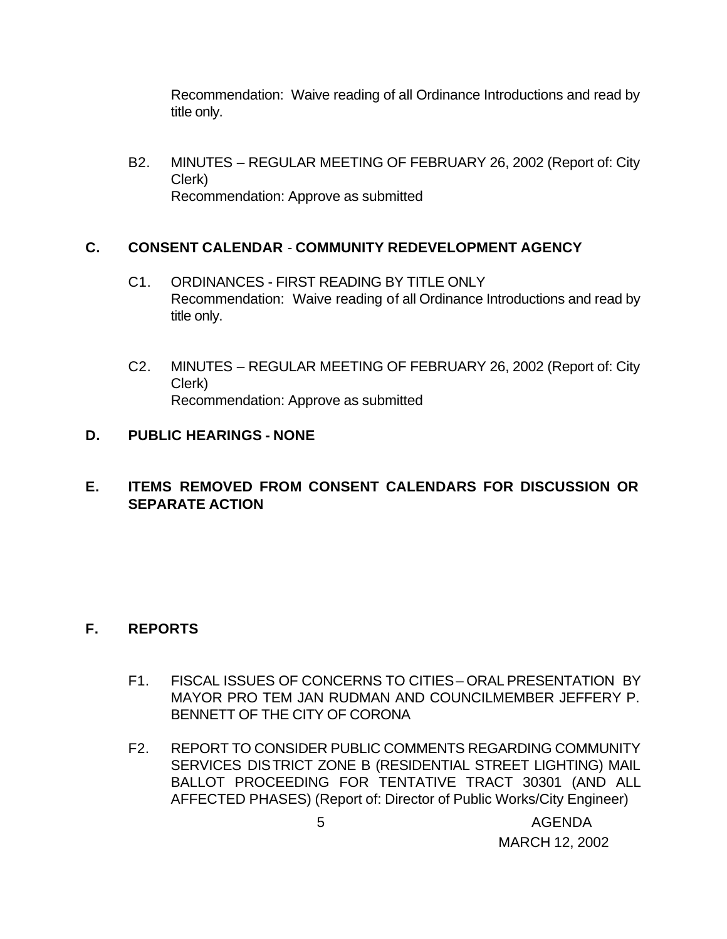Recommendation: Waive reading of all Ordinance Introductions and read by title only.

B2. MINUTES – REGULAR MEETING OF FEBRUARY 26, 2002 (Report of: City Clerk) Recommendation: Approve as submitted

### **C. CONSENT CALENDAR** - **COMMUNITY REDEVELOPMENT AGENCY**

- C1. ORDINANCES FIRST READING BY TITLE ONLY Recommendation: Waive reading of all Ordinance Introductions and read by title only.
- C2. MINUTES REGULAR MEETING OF FEBRUARY 26, 2002 (Report of: City Clerk) Recommendation: Approve as submitted

### **D. PUBLIC HEARINGS - NONE**

## **E. ITEMS REMOVED FROM CONSENT CALENDARS FOR DISCUSSION OR SEPARATE ACTION**

## **F. REPORTS**

- F1. FISCAL ISSUES OF CONCERNS TO CITIES ORAL PRESENTATION BY MAYOR PRO TEM JAN RUDMAN AND COUNCILMEMBER JEFFERY P. BENNETT OF THE CITY OF CORONA
- F2. REPORT TO CONSIDER PUBLIC COMMENTS REGARDING COMMUNITY SERVICES DISTRICT ZONE B (RESIDENTIAL STREET LIGHTING) MAIL BALLOT PROCEEDING FOR TENTATIVE TRACT 30301 (AND ALL AFFECTED PHASES) (Report of: Director of Public Works/City Engineer)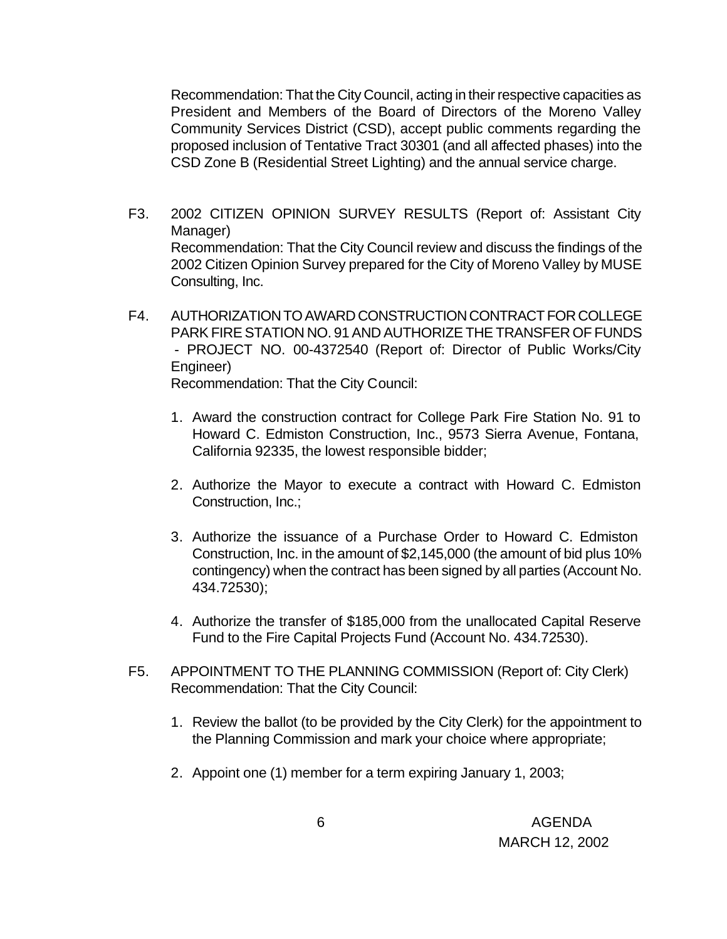Recommendation: That the City Council, acting in their respective capacities as President and Members of the Board of Directors of the Moreno Valley Community Services District (CSD), accept public comments regarding the proposed inclusion of Tentative Tract 30301 (and all affected phases) into the CSD Zone B (Residential Street Lighting) and the annual service charge.

- F3. 2002 CITIZEN OPINION SURVEY RESULTS (Report of: Assistant City Manager) Recommendation: That the City Council review and discuss the findings of the 2002 Citizen Opinion Survey prepared for the City of Moreno Valley by MUSE Consulting, Inc.
- F4. AUTHORIZATION TO AWARD CONSTRUCTION CONTRACT FOR COLLEGE PARK FIRE STATION NO. 91 AND AUTHORIZE THE TRANSFER OF FUNDS - PROJECT NO. 00-4372540 (Report of: Director of Public Works/City Engineer) Recommendation: That the City Council:
	- 1. Award the construction contract for College Park Fire Station No. 91 to Howard C. Edmiston Construction, Inc., 9573 Sierra Avenue, Fontana, California 92335, the lowest responsible bidder;
	- 2. Authorize the Mayor to execute a contract with Howard C. Edmiston Construction, Inc.;
	- 3. Authorize the issuance of a Purchase Order to Howard C. Edmiston Construction, Inc. in the amount of \$2,145,000 (the amount of bid plus 10% contingency) when the contract has been signed by all parties (Account No. 434.72530);
	- 4. Authorize the transfer of \$185,000 from the unallocated Capital Reserve Fund to the Fire Capital Projects Fund (Account No. 434.72530).
- F5. APPOINTMENT TO THE PLANNING COMMISSION (Report of: City Clerk) Recommendation: That the City Council:
	- 1. Review the ballot (to be provided by the City Clerk) for the appointment to the Planning Commission and mark your choice where appropriate;
	- 2. Appoint one (1) member for a term expiring January 1, 2003;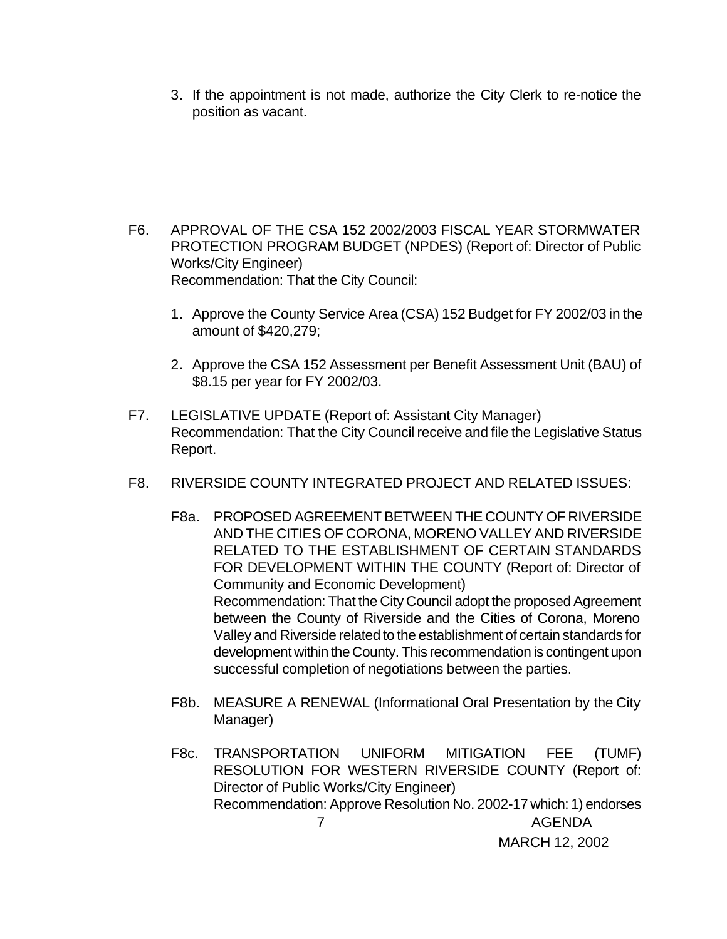3. If the appointment is not made, authorize the City Clerk to re-notice the position as vacant.

- F6. APPROVAL OF THE CSA 152 2002/2003 FISCAL YEAR STORMWATER PROTECTION PROGRAM BUDGET (NPDES) (Report of: Director of Public Works/City Engineer) Recommendation: That the City Council:
	- 1. Approve the County Service Area (CSA) 152 Budget for FY 2002/03 in the amount of \$420,279;
	- 2. Approve the CSA 152 Assessment per Benefit Assessment Unit (BAU) of \$8.15 per year for FY 2002/03.
- F7. LEGISLATIVE UPDATE (Report of: Assistant City Manager) Recommendation: That the City Council receive and file the Legislative Status Report.
- F8. RIVERSIDE COUNTY INTEGRATED PROJECT AND RELATED ISSUES:
	- F8a. PROPOSED AGREEMENT BETWEEN THE COUNTY OF RIVERSIDE AND THE CITIES OF CORONA, MORENO VALLEY AND RIVERSIDE RELATED TO THE ESTABLISHMENT OF CERTAIN STANDARDS FOR DEVELOPMENT WITHIN THE COUNTY (Report of: Director of Community and Economic Development) Recommendation: That the City Council adopt the proposed Agreement between the County of Riverside and the Cities of Corona, Moreno Valley and Riverside related to the establishment of certain standards for development within the County. This recommendation is contingent upon successful completion of negotiations between the parties.
	- F8b. MEASURE A RENEWAL (Informational Oral Presentation by the City Manager)
- 7 AGENDA MARCH 12, 2002 F8c. TRANSPORTATION UNIFORM MITIGATION FEE (TUMF) RESOLUTION FOR WESTERN RIVERSIDE COUNTY (Report of: Director of Public Works/City Engineer) Recommendation: Approve Resolution No. 2002-17 which: 1) endorses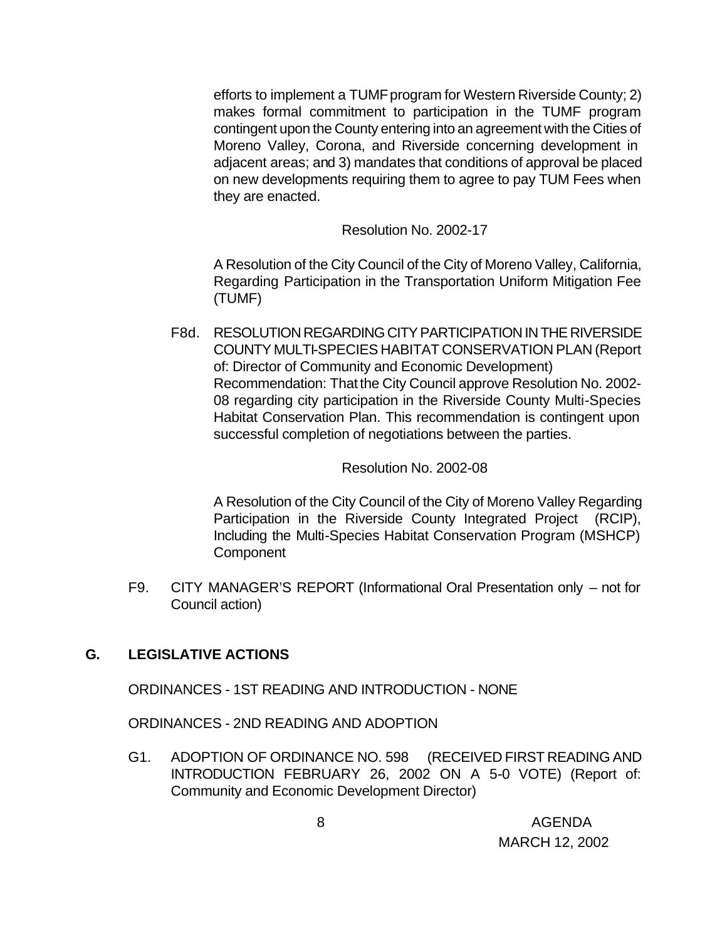efforts to implement a TUMF program for Western Riverside County; 2) makes formal commitment to participation in the TUMF program contingent upon the County entering into an agreement with the Cities of Moreno Valley, Corona, and Riverside concerning development in adjacent areas; and 3) mandates that conditions of approval be placed on new developments requiring them to agree to pay TUM Fees when they are enacted.

Resolution No. 2002-17

A Resolution of the City Council of the City of Moreno Valley, California, Regarding Participation in the Transportation Uniform Mitigation Fee (TUMF)

F8d. RESOLUTION REGARDING CITY PARTICIPATION IN THE RIVERSIDE COUNTY MULTI-SPECIES HABITAT CONSERVATION PLAN (Report of: Director of Community and Economic Development) Recommendation: That the City Council approve Resolution No. 2002- 08 regarding city participation in the Riverside County Multi-Species Habitat Conservation Plan. This recommendation is contingent upon successful completion of negotiations between the parties.

#### Resolution No. 2002-08

A Resolution of the City Council of the City of Moreno Valley Regarding Participation in the Riverside County Integrated Project (RCIP), Including the Multi-Species Habitat Conservation Program (MSHCP) **Component** 

F9. CITY MANAGER'S REPORT (Informational Oral Presentation only – not for Council action)

#### **G. LEGISLATIVE ACTIONS**

ORDINANCES - 1ST READING AND INTRODUCTION - NONE

ORDINANCES - 2ND READING AND ADOPTION

G1. ADOPTION OF ORDINANCE NO. 598 (RECEIVED FIRST READING AND INTRODUCTION FEBRUARY 26, 2002 ON A 5-0 VOTE) (Report of: Community and Economic Development Director)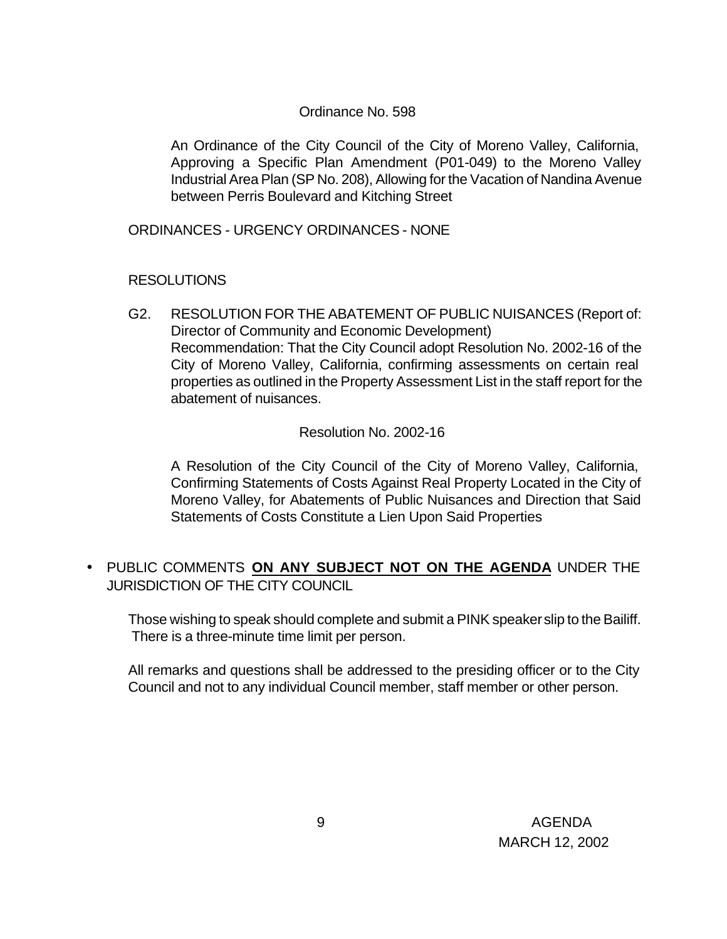#### Ordinance No. 598

An Ordinance of the City Council of the City of Moreno Valley, California, Approving a Specific Plan Amendment (P01-049) to the Moreno Valley Industrial Area Plan (SP No. 208), Allowing for the Vacation of Nandina Avenue between Perris Boulevard and Kitching Street

ORDINANCES - URGENCY ORDINANCES - NONE

#### RESOLUTIONS

G2. RESOLUTION FOR THE ABATEMENT OF PUBLIC NUISANCES (Report of: Director of Community and Economic Development) Recommendation: That the City Council adopt Resolution No. 2002-16 of the City of Moreno Valley, California, confirming assessments on certain real properties as outlined in the Property Assessment List in the staff report for the abatement of nuisances.

Resolution No. 2002-16

A Resolution of the City Council of the City of Moreno Valley, California, Confirming Statements of Costs Against Real Property Located in the City of Moreno Valley, for Abatements of Public Nuisances and Direction that Said Statements of Costs Constitute a Lien Upon Said Properties

• PUBLIC COMMENTS **ON ANY SUBJECT NOT ON THE AGENDA** UNDER THE JURISDICTION OF THE CITY COUNCIL

Those wishing to speak should complete and submit a PINK speaker slip to the Bailiff. There is a three-minute time limit per person.

All remarks and questions shall be addressed to the presiding officer or to the City Council and not to any individual Council member, staff member or other person.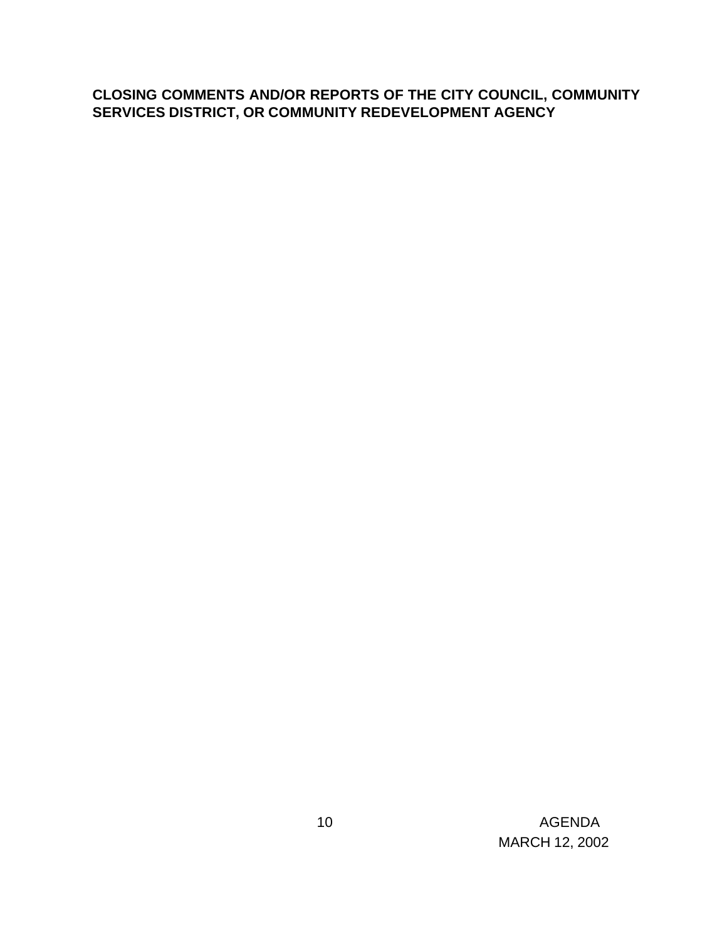# **CLOSING COMMENTS AND/OR REPORTS OF THE CITY COUNCIL, COMMUNITY SERVICES DISTRICT, OR COMMUNITY REDEVELOPMENT AGENCY**